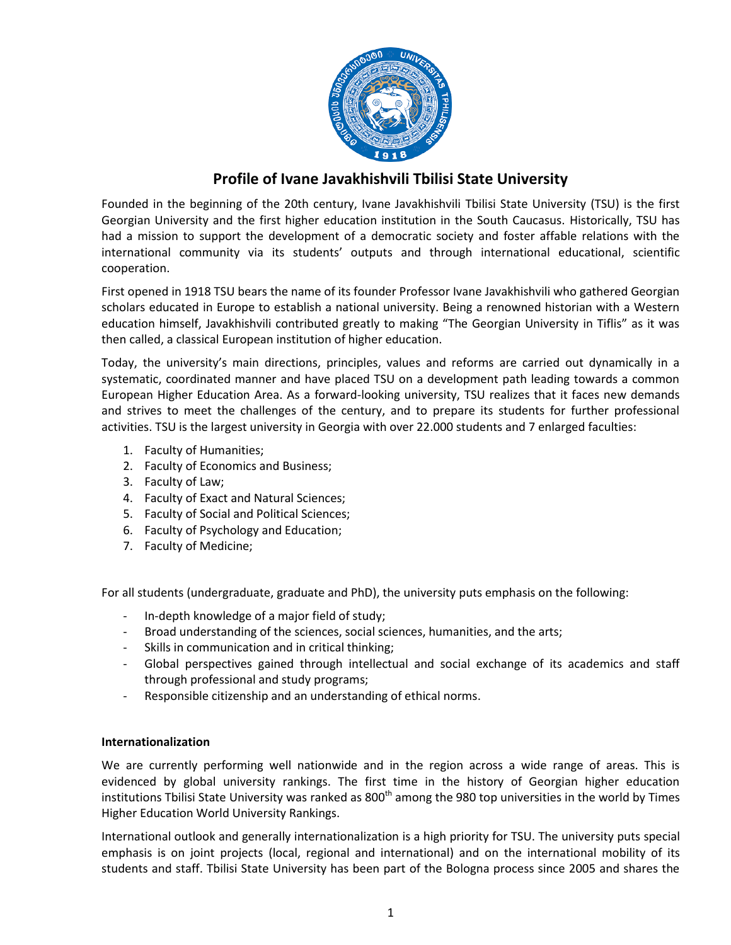

## **Profile of Ivane Javakhishvili Tbilisi State University**

Founded in the beginning of the 20th century, Ivane Javakhishvili Tbilisi State University (TSU) is the first Georgian University and the first higher education institution in the South Caucasus. Historically, TSU has had a mission to support the development of a democratic society and foster affable relations with the international community via its students' outputs and through international educational, scientific cooperation.

First opened in 1918 TSU bears the name of its founder Professor Ivane Javakhishvili who gathered Georgian scholars educated in Europe to establish a national university. Being a renowned historian with a Western education himself, Javakhishvili contributed greatly to making "The Georgian University in Tiflis" as it was then called, a classical European institution of higher education.

Today, the university's main directions, principles, values and reforms are carried out dynamically in a systematic, coordinated manner and have placed TSU on a development path leading towards a common European Higher Education Area. As a forward-looking university, TSU realizes that it faces new demands and strives to meet the challenges of the century, and to prepare its students for further professional activities. TSU is the largest university in Georgia with over 22.000 students and 7 enlarged faculties:

- 1. Faculty of Humanities;
- 2. Faculty of Economics and Business;
- 3. Faculty of Law;
- 4. Faculty of Exact and Natural Sciences;
- 5. Faculty of Social and Political Sciences;
- 6. Faculty of Psychology and Education;
- 7. Faculty of Medicine;

For all students (undergraduate, graduate and PhD), the university puts emphasis on the following:

- In-depth knowledge of a major field of study;
- Broad understanding of the sciences, social sciences, humanities, and the arts;
- Skills in communication and in critical thinking;
- Global perspectives gained through intellectual and social exchange of its academics and staff through professional and study programs;
- Responsible citizenship and an understanding of ethical norms.

## **Internationalization**

We are currently performing well nationwide and in the region across a wide range of areas. This is evidenced by global university rankings. The first time in the history of Georgian higher education institutions Tbilisi State University was ranked as 800<sup>th</sup> among the 980 top universities in the world by Times Higher Education World University Rankings.

International outlook and generally internationalization is a high priority for TSU. The university puts special emphasis is on joint projects (local, regional and international) and on the international mobility of its students and staff. Tbilisi State University has been part of the Bologna process since 2005 and shares the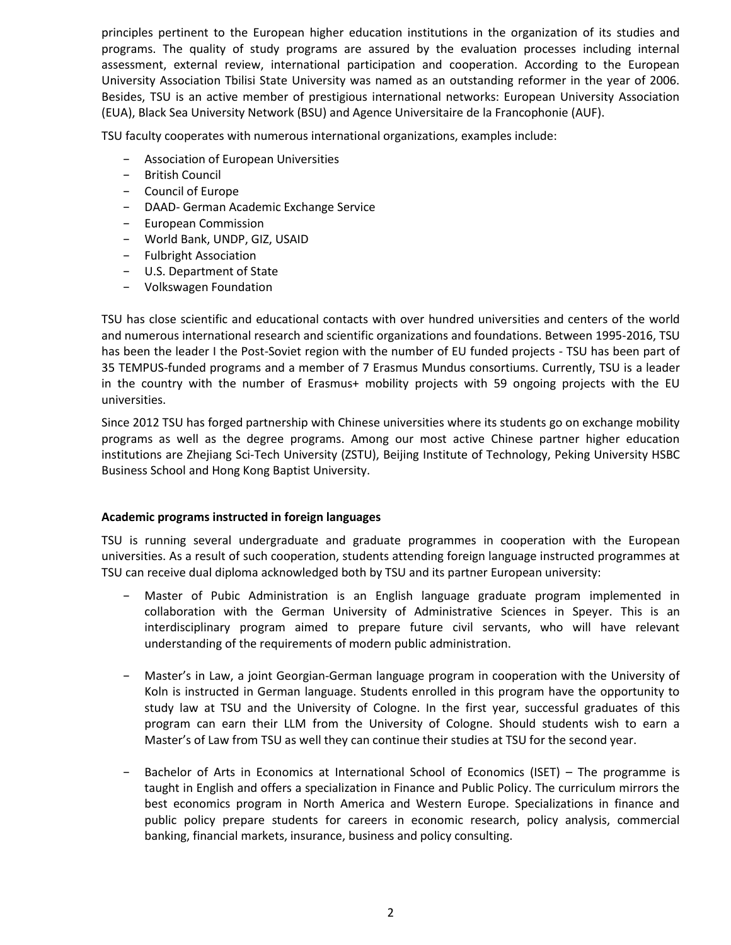principles pertinent to the European higher education institutions in the organization of its studies and programs. The quality of study programs are assured by the evaluation processes including internal assessment, external review, international participation and cooperation. According to the European University Association Tbilisi State University was named as an outstanding reformer in the year of 2006. Besides, TSU is an active member of prestigious international networks: European University Association (EUA), Black Sea University Network (BSU) and Agence Universitaire de la Francophonie (AUF).

TSU faculty cooperates with numerous international organizations, examples include:

- − Association of European Universities
- − British Council
- − Council of Europe
- − DAAD- German Academic Exchange Service
- − European Commission
- − World Bank, UNDP, GIZ, USAID
- − Fulbright Association
- − U.S. Department of State
- − Volkswagen Foundation

TSU has close scientific and educational contacts with over hundred universities and centers of the world and numerous international research and scientific organizations and foundations. Between 1995-2016, TSU has been the leader I the Post-Soviet region with the number of EU funded projects - TSU has been part of 35 TEMPUS-funded programs and a member of 7 Erasmus Mundus consortiums. Currently, TSU is a leader in the country with the number of Erasmus+ mobility projects with 59 ongoing projects with the EU universities.

Since 2012 TSU has forged partnership with Chinese universities where its students go on exchange mobility programs as well as the degree programs. Among our most active Chinese partner higher education institutions are Zhejiang Sci-Tech University (ZSTU), Beijing Institute of Technology, Peking University HSBC Business School and Hong Kong Baptist University.

## **Academic programs instructed in foreign languages**

TSU is running several undergraduate and graduate programmes in cooperation with the European universities. As a result of such cooperation, students attending foreign language instructed programmes at TSU can receive dual diploma acknowledged both by TSU and its partner European university:

- − Master of Pubic Administration is an English language graduate program implemented in collaboration with the German University of Administrative Sciences in Speyer. This is an interdisciplinary program aimed to prepare future civil servants, who will have relevant understanding of the requirements of modern public administration.
- − Master's in Law, a joint Georgian-German language program in cooperation with the University of Koln is instructed in German language. Students enrolled in this program have the opportunity to study law at TSU and the University of Cologne. In the first year, successful graduates of this program can earn their LLM from the University of Cologne. Should students wish to earn a Master's of Law from TSU as well they can continue their studies at TSU for the second year.
- Bachelor of Arts in Economics at International School of Economics (ISET) The programme is taught in English and offers a specialization in Finance and Public Policy. The curriculum mirrors the best economics program in North America and Western Europe. Specializations in finance and public policy prepare students for careers in economic research, policy analysis, commercial banking, financial markets, insurance, business and policy consulting.